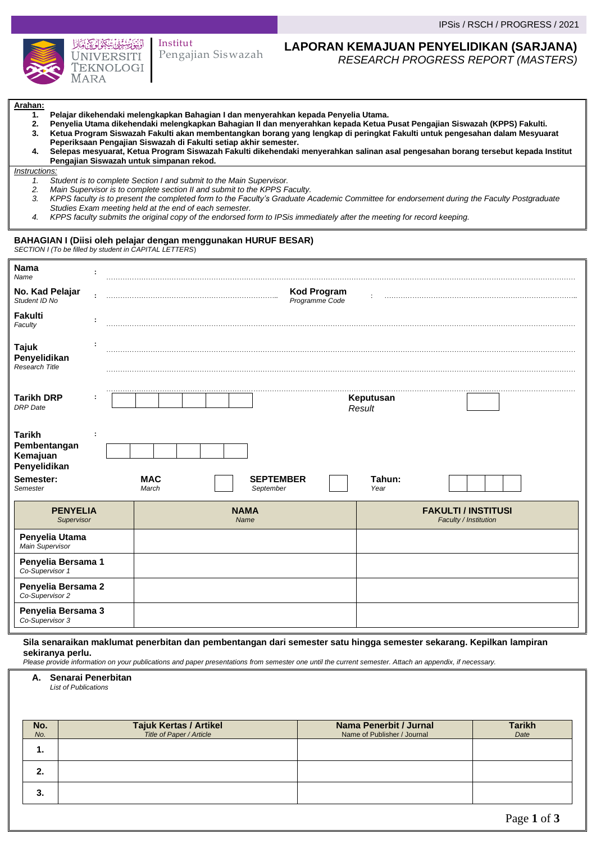

# Institut

Pengajian Siswazah

# **LAPORAN KEMAJUAN PENYELIDIKAN (SARJANA)**

*RESEARCH PROGRESS REPORT (MASTERS)*

#### **Arahan:**

- **1. Pelajar dikehendaki melengkapkan Bahagian I dan menyerahkan kepada Penyelia Utama.**
- **2. Penyelia Utama dikehendaki melengkapkan Bahagian II dan menyerahkan kepada Ketua Pusat Pengajian Siswazah (KPPS) Fakulti. 3. Ketua Program Siswazah Fakulti akan membentangkan borang yang lengkap di peringkat Fakulti untuk pengesahan dalam Mesyuarat Peperiksaan Pengajian Siswazah di Fakulti setiap akhir semester.**
- **4. Selepas mesyuarat, Ketua Program Siswazah Fakulti dikehendaki menyerahkan salinan asal pengesahan borang tersebut kepada Institut Pengajian Siswazah untuk simpanan rekod.**

#### *Instructions:*

- *1. Student is to complete Section I and submit to the Main Supervisor.*
- *2. Main Supervisor is to complete section II and submit to the KPPS Faculty.*
- *3. KPPS faculty is to present the completed form to the Faculty's Graduate Academic Committee for endorsement during the Faculty Postgraduate Studies Exam meeting held at the end of each semester.*
- *4. KPPS faculty submits the original copy of the endorsed form to IPSis immediately after the meeting for record keeping.*

### **BAHAGIAN I (Diisi oleh pelajar dengan menggunakan HURUF BESAR)**

*SECTION I (To be filled by student in CAPITAL LETTERS*)

| <b>Nama</b><br>Name                                            |                     |                                      |                               |  |                     |                                                     |  |  |  |
|----------------------------------------------------------------|---------------------|--------------------------------------|-------------------------------|--|---------------------|-----------------------------------------------------|--|--|--|
| No. Kad Pelajar<br>÷<br>Student ID No                          |                     | <b>Kod Program</b><br>Programme Code |                               |  |                     |                                                     |  |  |  |
| Fakulti<br>Faculty                                             |                     |                                      |                               |  |                     |                                                     |  |  |  |
| ÷<br><b>Tajuk</b><br>Penyelidikan<br>Research Title            |                     |                                      |                               |  |                     |                                                     |  |  |  |
| <b>Tarikh DRP</b><br>÷<br><b>DRP</b> Date                      |                     |                                      |                               |  | Keputusan<br>Result |                                                     |  |  |  |
| <b>Tarikh</b><br>÷<br>Pembentangan<br>Kemajuan<br>Penyelidikan |                     |                                      |                               |  |                     |                                                     |  |  |  |
| Semester:<br>Semester                                          | <b>MAC</b><br>March |                                      | <b>SEPTEMBER</b><br>September |  | Tahun:<br>Year      |                                                     |  |  |  |
| <b>PENYELIA</b><br>Supervisor                                  |                     | <b>NAMA</b><br>Name                  |                               |  |                     | <b>FAKULTI / INSTITUSI</b><br>Faculty / Institution |  |  |  |
| Penyelia Utama<br>Main Supervisor                              |                     |                                      |                               |  |                     |                                                     |  |  |  |
| Penyelia Bersama 1<br>Co-Supervisor 1                          |                     |                                      |                               |  |                     |                                                     |  |  |  |
| Penyelia Bersama 2<br>Co-Supervisor 2                          |                     |                                      |                               |  |                     |                                                     |  |  |  |
| Penyelia Bersama 3<br>Co-Supervisor 3                          |                     |                                      |                               |  |                     |                                                     |  |  |  |

### **Sila senaraikan maklumat penerbitan dan pembentangan dari semester satu hingga semester sekarang. Kepilkan lampiran sekiranya perlu.**

*Please provide information on your publications and paper presentations from semester one until the current semester. Attach an appendix, if necessary.*

## **A. Senarai Penerbitan**

*List of Publications*

| No.<br>No. | <b>Tajuk Kertas / Artikel</b><br>Title of Paper / Article | Nama Penerbit / Jurnal<br>Name of Publisher / Journal | <b>Tarikh</b><br>Date |
|------------|-----------------------------------------------------------|-------------------------------------------------------|-----------------------|
|            |                                                           |                                                       |                       |
| 2<br>Ζ.    |                                                           |                                                       |                       |
| o.         |                                                           |                                                       |                       |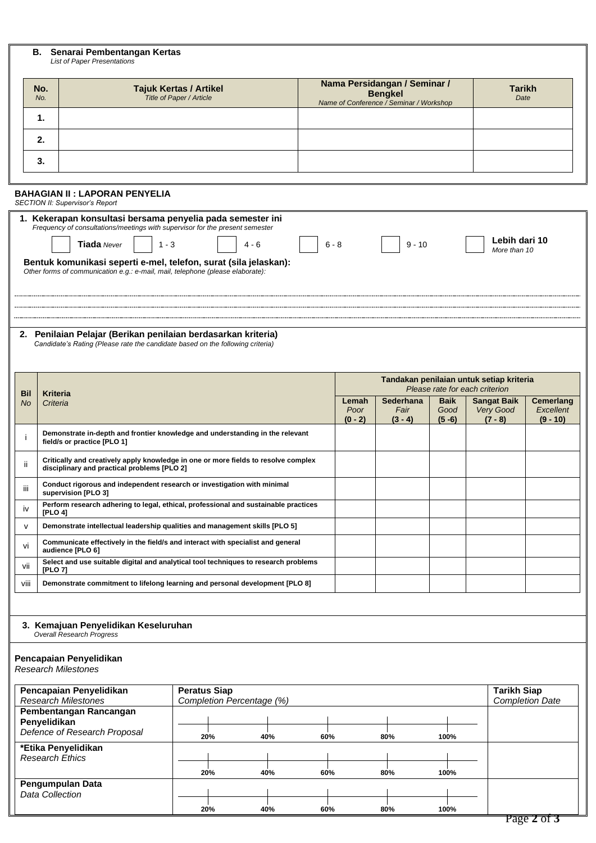|            | <b>List of Paper Presentations</b>                                                                                                                                                                                                                           |                                                           |         |                                                                            |                                                                                           |                                  |                                              |                                      |
|------------|--------------------------------------------------------------------------------------------------------------------------------------------------------------------------------------------------------------------------------------------------------------|-----------------------------------------------------------|---------|----------------------------------------------------------------------------|-------------------------------------------------------------------------------------------|----------------------------------|----------------------------------------------|--------------------------------------|
| No.<br>No. |                                                                                                                                                                                                                                                              | <b>Tajuk Kertas / Artikel</b><br>Title of Paper / Article |         |                                                                            | Nama Persidangan / Seminar /<br><b>Bengkel</b><br>Name of Conference / Seminar / Workshop |                                  | <b>Tarikh</b><br>Date                        |                                      |
| 1.         |                                                                                                                                                                                                                                                              |                                                           |         |                                                                            |                                                                                           |                                  |                                              |                                      |
| 2.         |                                                                                                                                                                                                                                                              |                                                           |         |                                                                            |                                                                                           |                                  |                                              |                                      |
| 3.         |                                                                                                                                                                                                                                                              |                                                           |         |                                                                            |                                                                                           |                                  |                                              |                                      |
|            | <b>BAHAGIAN II : LAPORAN PENYELIA</b>                                                                                                                                                                                                                        |                                                           |         |                                                                            |                                                                                           |                                  |                                              |                                      |
|            | SECTION II: Supervisor's Report<br>1. Kekerapan konsultasi bersama penyelia pada semester ini                                                                                                                                                                |                                                           |         |                                                                            |                                                                                           |                                  |                                              |                                      |
|            | Frequency of consultations/meetings with supervisor for the present semester<br>$1 - 3$<br>Tiada Never<br>Bentuk komunikasi seperti e-mel, telefon, surat (sila jelaskan):<br>Other forms of communication e.g.: e-mail, mail, telephone (please elaborate): | $4 - 6$                                                   | $6 - 8$ |                                                                            | $9 - 10$                                                                                  |                                  | Lebih dari 10<br>More than 10                |                                      |
|            |                                                                                                                                                                                                                                                              |                                                           |         |                                                                            |                                                                                           |                                  |                                              |                                      |
|            | 2. Penilaian Pelajar (Berikan penilaian berdasarkan kriteria)<br>Candidate's Rating (Please rate the candidate based on the following criteria)                                                                                                              |                                                           |         |                                                                            |                                                                                           |                                  |                                              |                                      |
|            |                                                                                                                                                                                                                                                              |                                                           |         |                                                                            |                                                                                           |                                  |                                              |                                      |
| <b>Bil</b> | <b>Kriteria</b>                                                                                                                                                                                                                                              |                                                           |         | Tandakan penilaian untuk setiap kriteria<br>Please rate for each criterion |                                                                                           |                                  |                                              |                                      |
| <b>No</b>  | Criteria                                                                                                                                                                                                                                                     |                                                           |         | Lemah<br>Poor<br>$(0 - 2)$                                                 | <b>Sederhana</b><br>Fair<br>$(3 - 4)$                                                     | <b>Baik</b><br>Good<br>$(5 - 6)$ | <b>Sangat Baik</b><br>Very Good<br>$(7 - 8)$ | Cemerlang<br>Excellent<br>$(9 - 10)$ |
|            | Demonstrate in-depth and frontier knowledge and understanding in the relevant<br>field/s or practice [PLO 1]                                                                                                                                                 |                                                           |         |                                                                            |                                                                                           |                                  |                                              |                                      |
|            | Critically and creatively apply knowledge in one or more fields to resolve complex<br>disciplinary and practical problems [PLO 2]                                                                                                                            |                                                           |         |                                                                            |                                                                                           |                                  |                                              |                                      |
| iii.       | Conduct rigorous and independent research or investigation with minimal<br>supervision [PLO 3]                                                                                                                                                               |                                                           |         |                                                                            |                                                                                           |                                  |                                              |                                      |
| iv         | Perform research adhering to legal, ethical, professional and sustainable practices<br>[PLO 4]                                                                                                                                                               |                                                           |         |                                                                            |                                                                                           |                                  |                                              |                                      |
|            | Demonstrate intellectual leadership qualities and management skills [PLO 5]                                                                                                                                                                                  |                                                           |         |                                                                            |                                                                                           |                                  |                                              |                                      |
| vi         | Communicate effectively in the field/s and interact with specialist and general<br>audience [PLO 6]                                                                                                                                                          |                                                           |         |                                                                            |                                                                                           |                                  |                                              |                                      |
| vii        | Select and use suitable digital and analytical tool techniques to research problems<br>[PLO 7]                                                                                                                                                               |                                                           |         |                                                                            |                                                                                           |                                  |                                              |                                      |
| viii       | Demonstrate commitment to lifelong learning and personal development [PLO 8]                                                                                                                                                                                 |                                                           |         |                                                                            |                                                                                           |                                  |                                              |                                      |
|            |                                                                                                                                                                                                                                                              |                                                           |         |                                                                            |                                                                                           |                                  |                                              |                                      |
|            | 3. Kemajuan Penyelidikan Keseluruhan<br>Overall Research Progress                                                                                                                                                                                            |                                                           |         |                                                                            |                                                                                           |                                  |                                              |                                      |
|            | Pencapaian Penyelidikan                                                                                                                                                                                                                                      |                                                           |         |                                                                            |                                                                                           |                                  |                                              |                                      |
|            | <b>Research Milestones</b>                                                                                                                                                                                                                                   |                                                           |         |                                                                            |                                                                                           |                                  |                                              |                                      |
|            | Pencapaian Penyelidikan<br><b>Research Milestones</b>                                                                                                                                                                                                        | <b>Peratus Siap</b><br>Completion Percentage (%)          |         |                                                                            |                                                                                           |                                  | <b>Tarikh Siap</b>                           | <b>Completion Date</b>               |
|            | Pembentangan Rancangan                                                                                                                                                                                                                                       |                                                           |         |                                                                            |                                                                                           |                                  |                                              |                                      |
|            |                                                                                                                                                                                                                                                              |                                                           |         |                                                                            |                                                                                           |                                  |                                              |                                      |
|            | Penyelidikan<br>Defence of Research Proposal                                                                                                                                                                                                                 | 20%<br>40%                                                | 60%     |                                                                            | 80%                                                                                       | 100%                             |                                              |                                      |
|            | *Etika Penyelidikan<br><b>Research Ethics</b>                                                                                                                                                                                                                |                                                           |         |                                                                            |                                                                                           |                                  |                                              |                                      |

**20% 40% 60% 80% 100%**

*Data Collection*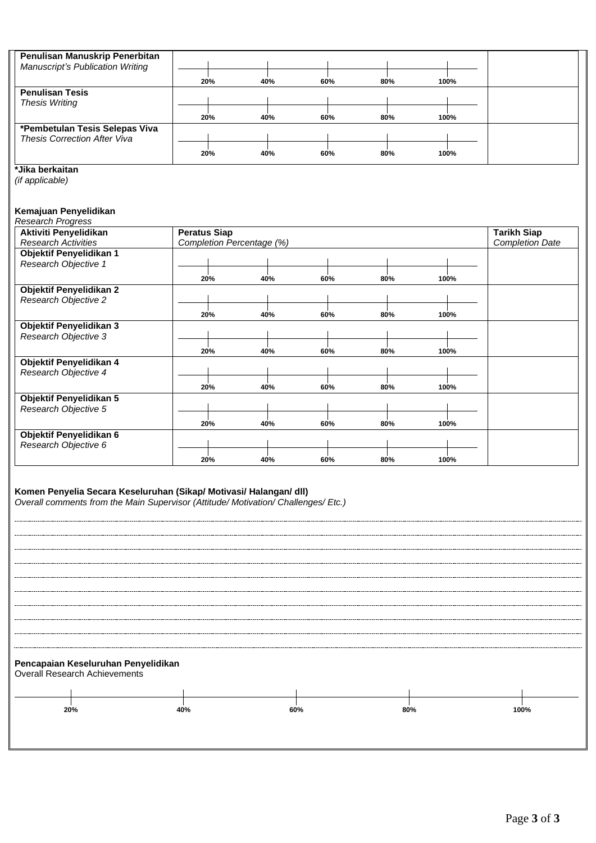|                                                                                                                                                          | Penulisan Manuskrip Penerbitan |     |     |     |      |                        |
|----------------------------------------------------------------------------------------------------------------------------------------------------------|--------------------------------|-----|-----|-----|------|------------------------|
| Manuscript's Publication Writing                                                                                                                         | 20%                            | 40% | 60% | 80% | 100% |                        |
| <b>Penulisan Tesis</b>                                                                                                                                   |                                |     |     |     |      |                        |
| <b>Thesis Writing</b>                                                                                                                                    |                                |     |     |     |      |                        |
|                                                                                                                                                          | 20%                            | 40% | 60% | 80% | 100% |                        |
| *Pembetulan Tesis Selepas Viva                                                                                                                           |                                |     |     |     |      |                        |
| <b>Thesis Correction After Viva</b>                                                                                                                      |                                |     |     |     |      |                        |
|                                                                                                                                                          | 20%                            | 40% | 60% | 80% | 100% |                        |
| *Jika berkaitan                                                                                                                                          |                                |     |     |     |      |                        |
| (if applicable)                                                                                                                                          |                                |     |     |     |      |                        |
|                                                                                                                                                          |                                |     |     |     |      |                        |
| Kemajuan Penyelidikan                                                                                                                                    |                                |     |     |     |      |                        |
| <b>Research Progress</b>                                                                                                                                 |                                |     |     |     |      |                        |
| Aktiviti Penyelidikan                                                                                                                                    | <b>Peratus Siap</b>            |     |     |     |      | <b>Tarikh Siap</b>     |
| <b>Research Activities</b><br>Objektif Penyelidikan 1                                                                                                    | Completion Percentage (%)      |     |     |     |      | <b>Completion Date</b> |
| Research Objective 1                                                                                                                                     |                                |     |     |     |      |                        |
|                                                                                                                                                          | 20%                            | 40% | 60% | 80% | 100% |                        |
| <b>Objektif Penyelidikan 2</b>                                                                                                                           |                                |     |     |     |      |                        |
| Research Objective 2                                                                                                                                     |                                |     |     |     |      |                        |
|                                                                                                                                                          | 20%                            | 40% | 60% | 80% | 100% |                        |
| <b>Objektif Penyelidikan 3</b>                                                                                                                           |                                |     |     |     |      |                        |
| Research Objective 3                                                                                                                                     |                                |     |     |     |      |                        |
|                                                                                                                                                          | 20%                            | 40% | 60% | 80% | 100% |                        |
| Objektif Penyelidikan 4                                                                                                                                  |                                |     |     |     |      |                        |
| Research Objective 4                                                                                                                                     |                                |     |     |     |      |                        |
| <b>Objektif Penyelidikan 5</b>                                                                                                                           | 20%                            | 40% | 60% | 80% | 100% |                        |
|                                                                                                                                                          |                                |     |     |     |      |                        |
|                                                                                                                                                          |                                |     |     |     |      |                        |
|                                                                                                                                                          |                                |     |     |     |      |                        |
|                                                                                                                                                          | 20%                            | 40% | 60% | 80% | 100% |                        |
|                                                                                                                                                          |                                |     |     |     |      |                        |
| Research Objective 5<br>Objektif Penyelidikan 6<br>Research Objective 6                                                                                  | 20%                            | 40% | 60% | 80% | 100% |                        |
| Komen Penyelia Secara Keseluruhan (Sikap/ Motivasi/ Halangan/ dll)<br>Overall comments from the Main Supervisor (Attitude/ Motivation/ Challenges/ Etc.) |                                |     |     |     |      |                        |
|                                                                                                                                                          |                                |     |     |     |      |                        |
|                                                                                                                                                          |                                |     |     |     |      |                        |
|                                                                                                                                                          |                                |     |     |     |      |                        |
|                                                                                                                                                          |                                |     |     |     |      |                        |
|                                                                                                                                                          |                                |     |     |     |      |                        |
|                                                                                                                                                          |                                |     |     |     |      |                        |
| Pencapaian Keseluruhan Penyelidikan<br><b>Overall Research Achievements</b>                                                                              |                                |     |     |     |      |                        |
| 20%                                                                                                                                                      | 40%                            | 60% |     | 80% |      | 100%                   |